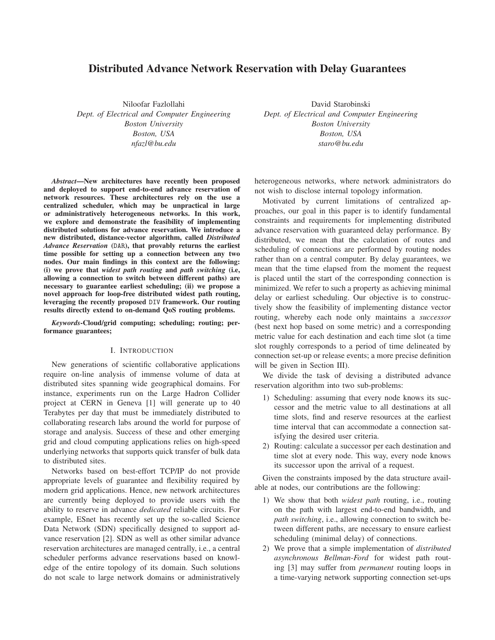# **Distributed Advance Network Reservation with Delay Guarantees**

Niloofar Fazlollahi *Dept. of Electrical and Computer Engineering Boston University Boston, USA nfazl@bu.edu*

*Abstract***—New architectures have recently been proposed and deployed to support end-to-end advance reservation of network resources. These architectures rely on the use a centralized scheduler, which may be unpractical in large or administratively heterogeneous networks. In this work, we explore and demonstrate the feasibility of implementing distributed solutions for advance reservation. We introduce a new distributed, distance-vector algorithm, called** *Distributed Advance Reservation* **(**DAR**), that provably returns the earliest time possible for setting up a connection between any two nodes. Our main findings in this context are the following: (i) we prove that** *widest path routing* **and** *path switching* **(i.e, allowing a connection to switch between different paths) are necessary to guarantee earliest scheduling; (ii) we propose a novel approach for loop-free distributed widest path routing, leveraging the recently proposed** DIV **framework. Our routing results directly extend to on-demand QoS routing problems.**

*Keywords***-Cloud/grid computing; scheduling; routing; performance guarantees;**

# I. INTRODUCTION

New generations of scientific collaborative applications require on-line analysis of immense volume of data at distributed sites spanning wide geographical domains. For instance, experiments run on the Large Hadron Collider project at CERN in Geneva [1] will generate up to 40 Terabytes per day that must be immediately distributed to collaborating research labs around the world for purpose of storage and analysis. Success of these and other emerging grid and cloud computing applications relies on high-speed underlying networks that supports quick transfer of bulk data to distributed sites.

Networks based on best-effort TCP/IP do not provide appropriate levels of guarantee and flexibility required by modern grid applications. Hence, new network architectures are currently being deployed to provide users with the ability to reserve in advance *dedicated* reliable circuits. For example, ESnet has recently set up the so-called Science Data Network (SDN) specifically designed to support advance reservation [2]. SDN as well as other similar advance reservation architectures are managed centrally, i.e., a central scheduler performs advance reservations based on knowledge of the entire topology of its domain. Such solutions do not scale to large network domains or administratively

David Starobinski *Dept. of Electrical and Computer Engineering Boston University Boston, USA staro@bu.edu*

heterogeneous networks, where network administrators do not wish to disclose internal topology information.

Motivated by current limitations of centralized approaches, our goal in this paper is to identify fundamental constraints and requirements for implementing distributed advance reservation with guaranteed delay performance. By distributed, we mean that the calculation of routes and scheduling of connections are performed by routing nodes rather than on a central computer. By delay guarantees, we mean that the time elapsed from the moment the request is placed until the start of the corresponding connection is minimized. We refer to such a property as achieving minimal delay or earliest scheduling. Our objective is to constructively show the feasibility of implementing distance vector routing, whereby each node only maintains a *successor* (best next hop based on some metric) and a corresponding metric value for each destination and each time slot (a time slot roughly corresponds to a period of time delineated by connection set-up or release events; a more precise definition will be given in Section III).

We divide the task of devising a distributed advance reservation algorithm into two sub-problems:

- 1) Scheduling: assuming that every node knows its successor and the metric value to all destinations at all time slots, find and reserve resources at the earliest time interval that can accommodate a connection satisfying the desired user criteria.
- 2) Routing: calculate a successor per each destination and time slot at every node. This way, every node knows its successor upon the arrival of a request.

Given the constraints imposed by the data structure available at nodes, our contributions are the following:

- 1) We show that both *widest path* routing, i.e., routing on the path with largest end-to-end bandwidth, and *path switching*, i.e., allowing connection to switch between different paths, are necessary to ensure earliest scheduling (minimal delay) of connections.
- 2) We prove that a simple implementation of *distributed asynchronous Bellman-Ford* for widest path routing [3] may suffer from *permanent* routing loops in a time-varying network supporting connection set-ups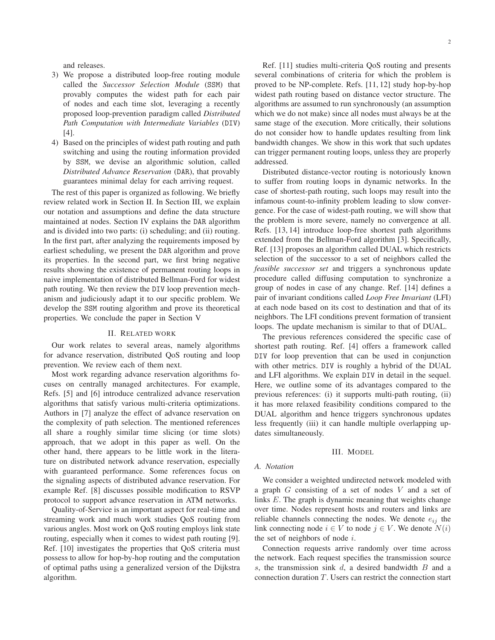and releases.

- 3) We propose a distributed loop-free routing module called the *Successor Selection Module* (SSM) that provably computes the widest path for each pair of nodes and each time slot, leveraging a recently proposed loop-prevention paradigm called *Distributed Path Computation with Intermediate Variables* (DIV) [4].
- 4) Based on the principles of widest path routing and path switching and using the routing information provided by SSM, we devise an algorithmic solution, called *Distributed Advance Reservation* (DAR), that provably guarantees minimal delay for each arriving request.

The rest of this paper is organized as following. We briefly review related work in Section II. In Section III, we explain our notation and assumptions and define the data structure maintained at nodes. Section IV explains the DAR algorithm and is divided into two parts: (i) scheduling; and (ii) routing. In the first part, after analyzing the requirements imposed by earliest scheduling, we present the DAR algorithm and prove its properties. In the second part, we first bring negative results showing the existence of permanent routing loops in naive implementation of distributed Bellman-Ford for widest path routing. We then review the DIV loop prevention mechanism and judiciously adapt it to our specific problem. We develop the SSM routing algorithm and prove its theoretical properties. We conclude the paper in Section V

# II. RELATED WORK

Our work relates to several areas, namely algorithms for advance reservation, distributed QoS routing and loop prevention. We review each of them next.

Most work regarding advance reservation algorithms focuses on centrally managed architectures. For example, Refs. [5] and [6] introduce centralized advance reservation algorithms that satisfy various multi-criteria optimizations. Authors in [7] analyze the effect of advance reservation on the complexity of path selection. The mentioned references all share a roughly similar time slicing (or time slots) approach, that we adopt in this paper as well. On the other hand, there appears to be little work in the literature on distributed network advance reservation, especially with guaranteed performance. Some references focus on the signaling aspects of distributed advance reservation. For example Ref. [8] discusses possible modification to RSVP protocol to support advance reservation in ATM networks.

Quality-of-Service is an important aspect for real-time and streaming work and much work studies QoS routing from various angles. Most work on QoS routing employs link state routing, especially when it comes to widest path routing [9]. Ref. [10] investigates the properties that QoS criteria must possess to allow for hop-by-hop routing and the computation of optimal paths using a generalized version of the Dijkstra algorithm.

Ref. [11] studies multi-criteria QoS routing and presents several combinations of criteria for which the problem is proved to be NP-complete. Refs. [11, 12] study hop-by-hop widest path routing based on distance vector structure. The algorithms are assumed to run synchronously (an assumption which we do not make) since all nodes must always be at the same stage of the execution. More critically, their solutions do not consider how to handle updates resulting from link bandwidth changes. We show in this work that such updates can trigger permanent routing loops, unless they are properly addressed.

Distributed distance-vector routing is notoriously known to suffer from routing loops in dynamic networks. In the case of shortest-path routing, such loops may result into the infamous count-to-infinity problem leading to slow convergence. For the case of widest-path routing, we will show that the problem is more severe, namely no convergence at all. Refs. [13, 14] introduce loop-free shortest path algorithms extended from the Bellman-Ford algorithm [3]. Specifically, Ref. [13] proposes an algorithm called DUAL which restricts selection of the successor to a set of neighbors called the *feasible successor set* and triggers a synchronous update procedure called diffusing computation to synchronize a group of nodes in case of any change. Ref. [14] defines a pair of invariant conditions called *Loop Free Invariant* (LFI) at each node based on its cost to destination and that of its neighbors. The LFI conditions prevent formation of transient loops. The update mechanism is similar to that of DUAL.

The previous references considered the specific case of shortest path routing. Ref. [4] offers a framework called DIV for loop prevention that can be used in conjunction with other metrics. DIV is roughly a hybrid of the DUAL and LFI algorithms. We explain DIV in detail in the sequel. Here, we outline some of its advantages compared to the previous references: (i) it supports multi-path routing, (ii) it has more relaxed feasibility conditions compared to the DUAL algorithm and hence triggers synchronous updates less frequently (iii) it can handle multiple overlapping updates simultaneously.

### III. MODEL

# *A. Notation*

We consider a weighted undirected network modeled with a graph G consisting of a set of nodes V and a set of links E. The graph is dynamic meaning that weights change over time. Nodes represent hosts and routers and links are reliable channels connecting the nodes. We denote e*ij* the link connecting node  $i \in V$  to node  $j \in V$ . We denote  $N(i)$ the set of neighbors of node  $i$ .

Connection requests arrive randomly over time across the network. Each request specifies the transmission source s, the transmission sink  $d$ , a desired bandwidth  $B$  and a connection duration T. Users can restrict the connection start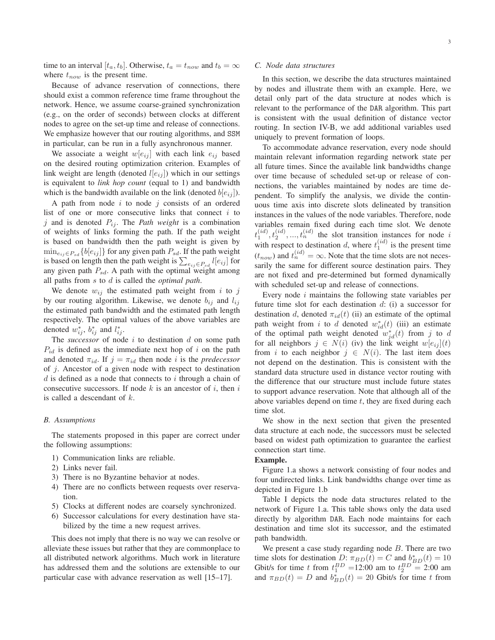time to an interval  $[t_a, t_b]$ . Otherwise,  $t_a = t_{now}$  and  $t_b = \infty$ where  $t_{now}$  is the present time.

Because of advance reservation of connections, there should exist a common reference time frame throughout the network. Hence, we assume coarse-grained synchronization (e.g., on the order of seconds) between clocks at different nodes to agree on the set-up time and release of connections. We emphasize however that our routing algorithms, and SSM in particular, can be run in a fully asynchronous manner.

We associate a weight  $w[e_{ij}]$  with each link  $e_{ij}$  based on the desired routing optimization criterion. Examples of link weight are length (denoted  $l[e_{ij}]$ ) which in our settings is equivalent to *link hop count* (equal to 1) and bandwidth which is the bandwidth available on the link (denoted  $b[e_{ij}]$ ).

A path from node  $i$  to node  $j$  consists of an ordered list of one or more consecutive links that connect  $i$  to j and is denoted  $P_{ij}$ . The *Path weight* is a combination of weights of links forming the path. If the path weight is based on bandwidth then the path weight is given by  $\min_{e_{ij} \in P_{sd}} \{b[e_{ij}]\}$  for any given path  $P_{sd}$ . If the path weight is based on length then the path weight is  $\sum_{e_{ij} \in P_{sd}} l[e_{ij}]$  for any given path P*sd*. A path with the optimal weight among all paths from s to d is called the *optimal path*.

We denote  $w_{ij}$  the estimated path weight from i to j by our routing algorithm. Likewise, we denote  $b_{ij}$  and  $l_{ij}$ the estimated path bandwidth and the estimated path length respectively. The optimal values of the above variables are denoted  $w_{ij}^*$ ,  $b_{ij}^*$  and  $l_{ij}^*$ .

The *successor* of node  $i$  to destination  $d$  on some path  $P_{id}$  is defined as the immediate next hop of i on the path and denoted  $\pi_{id}$ . If  $j = \pi_{id}$  then node i is the *predecessor* of  $j$ . Ancestor of a given node with respect to destination  $d$  is defined as a node that connects to i through a chain of consecutive successors. If node  $k$  is an ancestor of  $i$ , then  $i$ is called a descendant of k.

#### *B. Assumptions*

The statements proposed in this paper are correct under the following assumptions:

- 1) Communication links are reliable.
- 2) Links never fail.
- 3) There is no Byzantine behavior at nodes.
- 4) There are no conflicts between requests over reservation.
- 5) Clocks at different nodes are coarsely synchronized.
- 6) Successor calculations for every destination have stabilized by the time a new request arrives.

This does not imply that there is no way we can resolve or alleviate these issues but rather that they are commonplace to all distributed network algorithms. Much work in literature has addressed them and the solutions are extensible to our particular case with advance reservation as well [15–17].

#### *C. Node data structures*

In this section, we describe the data structures maintained by nodes and illustrate them with an example. Here, we detail only part of the data structure at nodes which is relevant to the performance of the DAR algorithm. This part is consistent with the usual definition of distance vector routing. In section IV-B, we add additional variables used uniquely to prevent formation of loops.

To accommodate advance reservation, every node should maintain relevant information regarding network state per all future times. Since the available link bandwidths change over time because of scheduled set-up or release of connections, the variables maintained by nodes are time dependent. To simplify the analysis, we divide the continuous time axis into discrete slots delineated by transition instances in the values of the node variables. Therefore, node variables remain fixed during each time slot. We denote  $t_1^{(id)}$ ,  $t_2^{(id)}$ , ...,  $t_n^{(id)}$  the slot transition instances for node i with respect to destination  $d$ , where  $t_1^{(id)}$  is the present time  $(t_{now})$  and  $t_n^{(id)} = \infty$ . Note that the time slots are not necessarily the same for different source destination pairs. They are not fixed and pre-determined but formed dynamically with scheduled set-up and release of connections.

Every node  $i$  maintains the following state variables per future time slot for each destination  $d$ : (i) a successor for destination d, denoted  $\pi_{id}(t)$  (ii) an estimate of the optimal path weight from *i* to *d* denoted  $w_{id}^*(t)$  (iii) an estimate of the optimal path weight denoted  $w_{id}^*(t)$  from j to d for all neighbors  $j \in N(i)$  (iv) the link weight  $w[e_{ij}](t)$ from i to each neighbor  $j \in N(i)$ . The last item does not depend on the destination. This is consistent with the standard data structure used in distance vector routing with the difference that our structure must include future states to support advance reservation. Note that although all of the above variables depend on time  $t$ , they are fixed during each time slot.

We show in the next section that given the presented data structure at each node, the successors must be selected based on widest path optimization to guarantee the earliest connection start time.

#### **Example.**

Figure 1.a shows a network consisting of four nodes and four undirected links. Link bandwidths change over time as depicted in Figure 1.b

Table I depicts the node data structures related to the network of Figure 1.a. This table shows only the data used directly by algorithm DAR. Each node maintains for each destination and time slot its successor, and the estimated path bandwidth.

We present a case study regarding node  $B$ . There are two time slots for destination  $D: \pi_{BD}(t) = C$  and  $b_{BD}^*(t) = 10$ Gbit/s for time t from  $t_1^{BD} = 12:00$  am to  $t_2^{BD} = 2:00$  am and  $\pi_{BD}(t) = D$  and  $b_{BD}^*(t) = 20$  Gbit/s for time t from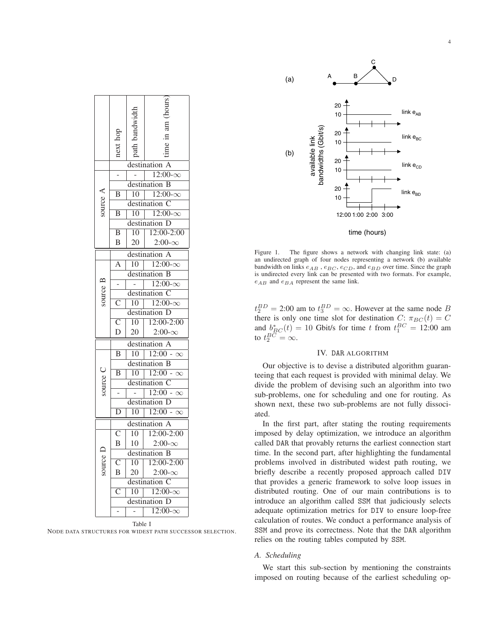

Table I NODE DATA STRUCTURES FOR WIDEST PATH SUCCESSOR SELECTION.



Figure 1. The figure shows a network with changing link state: (a) an undirected graph of four nodes representing a network (b) available bandwidth on links *eAB* , *eBC* , *eCD*, and *eBD* over time. Since the graph is undirected every link can be presented with two formats. For example, *eAB* and *eBA* represent the same link.

 $t_2^{BD} = 2:00$  am to  $t_3^{BD} = \infty$ . However at the same node B there is only one time slot for destination  $C: \pi_{BC}(t) = C$ and  $b_{BC}^*(t) = 10$  Gbit/s for time t from  $t_1^{BC} = 12:00$  am to  $t_2^{BC} = \infty$ .

### IV. DAR ALGORITHM

Our objective is to devise a distributed algorithm guaranteeing that each request is provided with minimal delay. We divide the problem of devising such an algorithm into two sub-problems, one for scheduling and one for routing. As shown next, these two sub-problems are not fully dissociated.

In the first part, after stating the routing requirements imposed by delay optimization, we introduce an algorithm called DAR that provably returns the earliest connection start time. In the second part, after highlighting the fundamental problems involved in distributed widest path routing, we briefly describe a recently proposed approach called DIV that provides a generic framework to solve loop issues in distributed routing. One of our main contributions is to introduce an algorithm called SSM that judiciously selects adequate optimization metrics for DIV to ensure loop-free calculation of routes. We conduct a performance analysis of SSM and prove its correctness. Note that the DAR algorithm relies on the routing tables computed by SSM.

### *A. Scheduling*

We start this sub-section by mentioning the constraints imposed on routing because of the earliest scheduling op-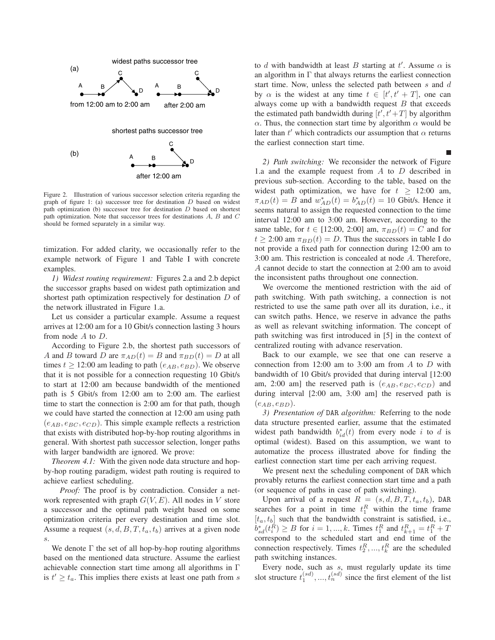

Figure 2. Illustration of various successor selection criteria regarding the graph of figure 1: (a) successor tree for destination *D* based on widest path optimization (b) successor tree for destination *D* based on shortest path optimization. Note that successor trees for destinations *A*, *B* and *C* should be formed separately in a similar way.

timization. For added clarity, we occasionally refer to the example network of Figure 1 and Table I with concrete examples.

*1) Widest routing requirement:* Figures 2.a and 2.b depict the successor graphs based on widest path optimization and shortest path optimization respectively for destination D of the network illustrated in Figure 1.a.

Let us consider a particular example. Assume a request arrives at 12:00 am for a 10 Gbit/s connection lasting 3 hours from node A to D.

According to Figure 2.b, the shortest path successors of A and B toward D are  $\pi_{AD}(t) = B$  and  $\pi_{BD}(t) = D$  at all times  $t \ge 12:00$  am leading to path  $(e_{AB}, e_{BD})$ . We observe that it is not possible for a connection requesting 10 Gbit/s to start at 12:00 am because bandwidth of the mentioned path is 5 Gbit/s from 12:00 am to 2:00 am. The earliest time to start the connection is 2:00 am for that path, though we could have started the connection at 12:00 am using path  $(e_{AB}, e_{BC}, e_{CD})$ . This simple example reflects a restriction that exists with distributed hop-by-hop routing algorithms in general. With shortest path successor selection, longer paths with larger bandwidth are ignored. We prove:

*Theorem 4.1:* With the given node data structure and hopby-hop routing paradigm, widest path routing is required to achieve earliest scheduling.

*Proof:* The proof is by contradiction. Consider a network represented with graph  $G(V, E)$ . All nodes in V store a successor and the optimal path weight based on some optimization criteria per every destination and time slot. Assume a request  $(s, d, B, T, t_a, t_b)$  arrives at a given node s.

We denote  $\Gamma$  the set of all hop-by-hop routing algorithms based on the mentioned data structure. Assume the earliest achievable connection start time among all algorithms in Γ is  $t' \geq t_a$ . This implies there exists at least one path from s

to d with bandwidth at least B starting at t'. Assume  $\alpha$  is an algorithm in  $\Gamma$  that always returns the earliest connection start time. Now, unless the selected path between  $s$  and  $d$ by  $\alpha$  is the widest at any time  $t \in [t', t' + T]$ , one can always come up with a bandwidth request  $B$  that exceeds the estimated path bandwidth during  $[t^{\prime}, t^{\prime} + T]$  by algorithm α. Thus, the connection start time by algorithm α would be later than  $t'$  which contradicts our assumption that  $\alpha$  returns the earliest connection start time.

*2) Path switching:* We reconsider the network of Figure 1.a and the example request from A to D described in previous sub-section. According to the table, based on the widest path optimization, we have for  $t \geq 12:00$  am,  $\pi_{AD}(t) = B$  and  $w_{AD}^*(t) = b_{AD}^*(t) = 10$  Gbit/s. Hence it seems natural to assign the requested connection to the time interval 12:00 am to 3:00 am. However, according to the same table, for  $t \in [12:00, 2:00]$  am,  $\pi_{BD}(t) = C$  and for  $t \ge 2:00$  am  $\pi_{BD}(t) = D$ . Thus the successors in table I do not provide a fixed path for connection during 12:00 am to 3:00 am. This restriction is concealed at node A. Therefore, A cannot decide to start the connection at 2:00 am to avoid the inconsistent paths throughout one connection.

We overcome the mentioned restriction with the aid of path switching. With path switching, a connection is not restricted to use the same path over all its duration, i.e., it can switch paths. Hence, we reserve in advance the paths as well as relevant switching information. The concept of path switching was first introduced in [5] in the context of centralized routing with advance reservation.

Back to our example, we see that one can reserve a connection from 12:00 am to 3:00 am from  $A$  to  $D$  with bandwidth of 10 Gbit/s provided that during interval [12:00 am, 2:00 am] the reserved path is  $(e_{AB}, e_{BC}, e_{CD})$  and during interval [2:00 am, 3:00 am] the reserved path is (e*AB*, e*BD*).

*3) Presentation of* DAR *algorithm:* Referring to the node data structure presented earlier, assume that the estimated widest path bandwidth  $b_{id}^*(t)$  from every node i to d is optimal (widest). Based on this assumption, we want to automatize the process illustrated above for finding the earliest connection start time per each arriving request.

We present next the scheduling component of DAR which provably returns the earliest connection start time and a path (or sequence of paths in case of path switching).

Upon arrival of a request  $R = (s, d, B, T, t_a, t_b)$ , DAR searches for a point in time  $t_1^R$  within the time frame  $[t_a, t_b]$  such that the bandwidth constraint is satisfied, i.e.,  $b_{sd}^k(t_i^R) \ge B$  for  $i = 1, ..., k$ . Times  $t_1^R$  and  $t_{k+1}^R = t_1^R + T$ correspond to the scheduled start and end time of the connection respectively. Times  $t_2^R, ..., t_k^R$  are the scheduled path switching instances.

Every node, such as  $s$ , must regularly update its time slot structure  $t_1^{(sd)}$ , ...,  $t_n^{(sd)}$  since the first element of the list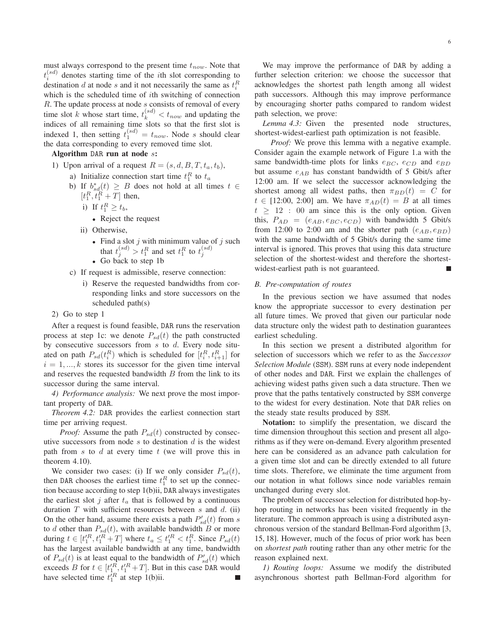must always correspond to the present time t*now*. Note that  $t_i^{(sd)}$  denotes starting time of the *i*th slot corresponding to destination d at node s and it not necessarily the same as  $t_i^R$ which is the scheduled time of *i*th switching of connection R. The update process at node s consists of removal of every time slot k whose start time,  $t_k^{(sd)} < t_{now}$  and updating the indices of all remaining time slots so that the first slot is indexed 1, then setting  $t_1^{(sd)} = t_{now}$ . Node s should clear the data corresponding to every removed time slot.

# **Algorithm** DAR **run at node** <sup>s</sup>**:**

- 1) Upon arrival of a request  $R = (s, d, B, T, t_a, t_b)$ ,
	- a) Initialize connection start time  $t_1^R$  to  $t_a$
	- b) If  $b_{sd}^*(t) \geq B$  does not hold at all times  $t \in$  $[t_1^R, t_1^R + T]$  then,
		- i) If  $t_1^R \ge t_b$ ,
			- Reject the request
		- ii) Otherwise,
			- Find a slot j with minimum value of j such that  $t_j^{(sd)} > t_1^R$  and set  $t_1^R$  to  $t_j^{(sd)}$
			- Go back to step 1b
	- c) If request is admissible, reserve connection:
		- i) Reserve the requested bandwidths from corresponding links and store successors on the scheduled path(s)
- 2) Go to step 1

After a request is found feasible, DAR runs the reservation process at step 1c: we denote  $P_{sd}(t)$  the path constructed by consecutive successors from  $s$  to  $d$ . Every node situated on path  $P_{sd}(t_i^R)$  which is scheduled for  $[t_i^R, t_{i+1}^R]$  for  $i = 1, \dots, k$  stores its successor for the given time interval and reserves the requested bandwidth  $B$  from the link to its successor during the same interval.

*4) Performance analysis:* We next prove the most important property of DAR.

*Theorem 4.2:* DAR provides the earliest connection start time per arriving request.

*Proof:* Assume the path  $P_{sd}(t)$  constructed by consecutive successors from node  $s$  to destination  $d$  is the widest path from s to  $d$  at every time  $t$  (we will prove this in theorem 4.10).

We consider two cases: (i) If we only consider  $P_{sd}(t)$ , then DAR chooses the earliest time  $t_1^R$  to set up the connec-<br>tion because according to step 1(b)ii. DAR always investigates tion because according to step 1(b)ii, DAR always investigates the earliest slot  $j$  after  $t_a$  that is followed by a continuous duration  $T$  with sufficient resources between  $s$  and  $d$ . (ii) On the other hand, assume there exists a path  $P'_{sd}(t)$  from s to d other than  $P_{sd}(t)$ , with available bandwidth B or more during  $t \in [t_1^{\prime R}, t_1^{\prime R} + T]$  where  $t_a \le t_1^{\prime R} < t_1^R$ . Since  $P_{sd}(t)$ has the largest available bandwidth at any time, bandwidth of  $P_{sd}(t)$  is at least equal to the bandwidth of  $P'_{sd}(t)$  which exceeds B for  $t \in [t_1^R, t_1^R + T]$ . But in this case DAR would<br>have selected time  $t^R$  at step 1(b)ii have selected time  $t_1^{\prime R}$  at step 1(b)ii.

We may improve the performance of DAR by adding a further selection criterion: we choose the successor that acknowledges the shortest path length among all widest path successors. Although this may improve performance by encouraging shorter paths compared to random widest path selection, we prove:

*Lemma 4.3:* Given the presented node structures, shortest-widest-earliest path optimization is not feasible.

*Proof:* We prove this lemma with a negative example. Consider again the example network of Figure 1.a with the same bandwidth-time plots for links e*BC* , e*CD* and e*BD* but assume e*AB* has constant bandwidth of 5 Gbit/s after 12:00 am. If we select the successor acknowledging the shortest among all widest paths, then  $\pi_{BD}(t) = C$  for  $t \in [12:00, 2:00]$  am. We have  $\pi_{AD}(t) = B$  at all times  $t \geq 12$ : 00 am since this is the only option. Given this,  $P_{AD} = (e_{AB}, e_{BC}, e_{CD})$  with bandwidth 5 Gbit/s from 12:00 to 2:00 am and the shorter path  $(e_{AB}, e_{BD})$ with the same bandwidth of 5 Gbit/s during the same time interval is ignored. This proves that using this data structure selection of the shortest-widest and therefore the shortestwidest-earliest path is not guaranteed.

#### *B. Pre-computation of routes*

In the previous section we have assumed that nodes know the appropriate successor to every destination per all future times. We proved that given our particular node data structure only the widest path to destination guarantees earliest scheduling.

In this section we present a distributed algorithm for selection of successors which we refer to as the *Successor Selection Module* (SSM). SSM runs at every node independent of other nodes and DAR. First we explain the challenges of achieving widest paths given such a data structure. Then we prove that the paths tentatively constructed by SSM converge to the widest for every destination. Note that DAR relies on the steady state results produced by SSM.

**Notation:** to simplify the presentation, we discard the time dimension throughout this section and present all algorithms as if they were on-demand. Every algorithm presented here can be considered as an advance path calculation for a given time slot and can be directly extended to all future time slots. Therefore, we eliminate the time argument from our notation in what follows since node variables remain unchanged during every slot.

The problem of successor selection for distributed hop-byhop routing in networks has been visited frequently in the literature. The common approach is using a distributed asynchronous version of the standard Bellman-Ford algorithm [3, 15, 18]. However, much of the focus of prior work has been on *shortest path* routing rather than any other metric for the reason explained next.

*1) Routing loops:* Assume we modify the distributed asynchronous shortest path Bellman-Ford algorithm for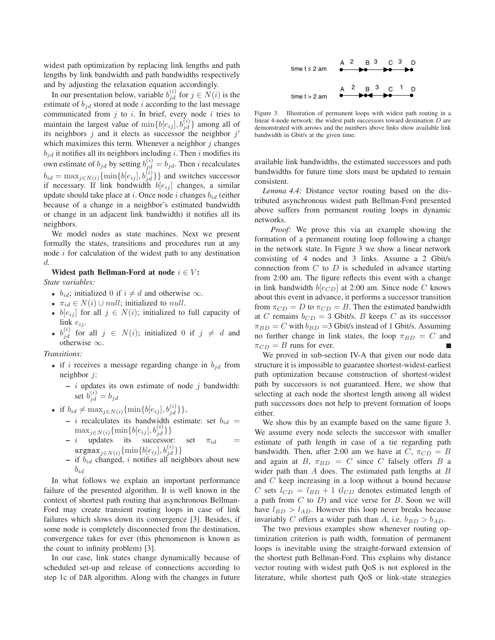widest path optimization by replacing link lengths and path lengths by link bandwidth and path bandwidths respectively and by adjusting the relaxation equation accordingly.

In our presentation below, variable  $b_{id}^{(i)}$  for  $j \in N(i)$  is the estimate of  $b_{jd}$  stored at node i according to the last message communicated from  $j$  to  $i$ . In brief, every node  $i$  tries to maintain the largest value of  $\min\{b[e_{ij}], b_{id}^{(i)}\}$  among all of its neighbors  $j$  and it elects as successor the neighbor  $j'$ which maximizes this term. Whenever a neighbor  $j$  changes  $b_{jd}$  it notifies all its neighbors including i. Then i modifies its own estimate of  $b_{jd}$  by setting  $b_{id}^{(i)} = b_{jd}$ . Then i recalculates  $b_{id} = \max_{j \in N(i)} \{\min\{b[e_{ij}], b_{jd}^{(i)}\}\}$  and switches successor if necessary. If link bandwidth b[e*ij* ] changes, a similar update should take place at i. Once node i changes b*id* (either because of a change in a neighbor's estimated bandwidth or change in an adjacent link bandwidth) it notifies all its neighbors.

We model nodes as state machines. Next we present formally the states, transitions and procedures run at any node  $i$  for calculation of the widest path to any destination d.

# **Widest path Bellman-Ford at node**  $i \in V$ : *State variables:*

- $b_{id}$ ; initialized 0 if  $i \neq d$  and otherwise  $\infty$ .
- $\pi_{id} \in N(i) \cup null$ ; initialized to *null*.
- $b[e_{ij}]$  for all  $j \in N(i)$ ; initialized to full capacity of link e*ij* .
- $b_{jd}^{(i)}$  for all  $j \in N(i)$ ; initialized 0 if  $j \neq d$  and otherwise  $\infty$ .

*Transitions:*

- if *i* receives a message regarding change in  $b_{jd}$  from neighbor j:
	- **–** i updates its own estimate of node j bandwidth: set  $b_{id}^{(i)} = b_{jd}$
- if  $b_{id} \neq \max_{j \in N(i)} \{\min\{b[e_{ij}], b_{jd}^{(i)}\}\},\$ 
	- $i$  recalculates its bandwidth estimate: set  $b_{id}$  =  $\max_{j \in N(i)} \{\min\{b[e_{ij}], b^{(i)}_{jd}\}\}$
	- $-i$  updates its successor: set  $\pi_{id}$  =  $\argmax_{j \in N(i)} \{\min\{b[e_{ij}], b_{jd}^{(i)}\}\}$
	- $-$  if  $b_{id}$  changed, i notifies all neighbors about new b*id*

In what follows we explain an important performance failure of the presented algorithm. It is well known in the context of shortest path routing that asynchronous Bellman-Ford may create transient routing loops in case of link failures which slows down its convergence [3]. Besides, if some node is completely disconnected from the destination, convergence takes for ever (this phenomenon is known as the count to infinity problem) [3].

In our case, link states change dynamically because of scheduled set-up and release of connections according to step 1c of DAR algorithm. Along with the changes in future



Figure 3. Illustration of permanent loops with widest path routing in a linear 4-node network: the widest path successors toward destination *D* are demonstrated with arrows and the numbers above links show available link bandwidth in Gbit/s at the given time.

available link bandwidths, the estimated successors and path bandwidths for future time slots must be updated to remain consistent.

*Lemma 4.4:* Distance vector routing based on the distributed asynchronous widest path Bellman-Ford presented above suffers from permanent routing loops in dynamic networks.

*Proof:* We prove this via an example showing the formation of a permanent routing loop following a change in the network state. In Figure 3 we show a linear network consisting of 4 nodes and 3 links. Assume a 2 Gbit/s connection from  $C$  to  $D$  is scheduled in advance starting from 2:00 am. The figure reflects this event with a change in link bandwidth  $b[e_{CD}]$  at 2:00 am. Since node C knows about this event in advance, it performs a successor transition from  $\pi_{CD} = D$  to  $\pi_{CD} = B$ . Then the estimated bandwidth at C remains  $b_{CD} = 3$  Gbit/s. B keeps C as its successor  $\pi_{BD} = C$  with  $b_{BD} = 3$  Gbit/s instead of 1 Gbit/s. Assuming no further change in link states, the loop  $\pi_{BD} = C$  and  $\pi_{CD} = B$  runs for ever.

We proved in sub-section IV-A that given our node data structure it is impossible to guarantee shortest-widest-earliest path optimization because construction of shortest-widest path by successors is not guaranteed. Here, we show that selecting at each node the shortest length among all widest path successors does not help to prevent formation of loops either.

We show this by an example based on the same figure 3. We assume every node selects the successor with smaller estimate of path length in case of a tie regarding path bandwidth. Then, after 2:00 am we have at  $C$ ,  $\pi_{CD} = B$ and again at  $B$ ,  $\pi_{BD} = C$  since C falsely offers B a wider path than  $A$  does. The estimated path lengths at  $B$ and C keep increasing in a loop without a bound because C sets  $l_{CD} = l_{BD} + 1$  ( $l_{CD}$  denotes estimated length of a path from  $C$  to  $D$ ) and vice verse for  $B$ . Soon we will have  $l_{BD} > l_{AD}$ . However this loop never breaks because invariably C offers a wider path than A, i.e.  $b_{BD} > b_{AD}$ .

The two previous examples show whenever routing optimization criterion is path width, formation of permanent loops is inevitable using the straight-forward extension of the shortest path Bellman-Ford. This explains why distance vector routing with widest path QoS is not explored in the literature, while shortest path QoS or link-state strategies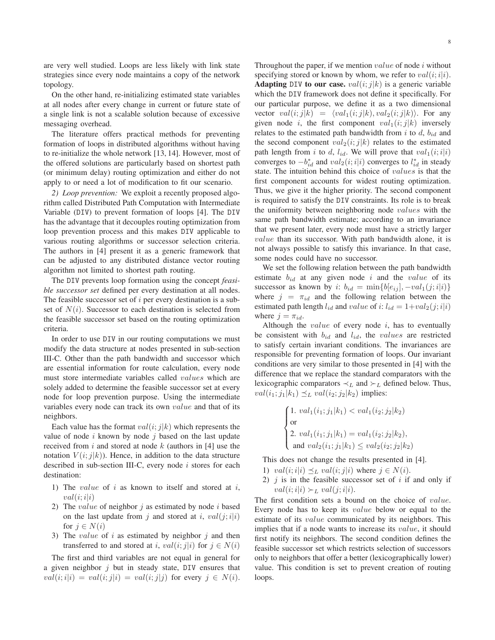are very well studied. Loops are less likely with link state strategies since every node maintains a copy of the network topology.

On the other hand, re-initializing estimated state variables at all nodes after every change in current or future state of a single link is not a scalable solution because of excessive messaging overhead.

The literature offers practical methods for preventing formation of loops in distributed algorithms without having to re-initialize the whole network [13, 14]. However, most of the offered solutions are particularly based on shortest path (or minimum delay) routing optimization and either do not apply to or need a lot of modification to fit our scenario.

*2) Loop prevention:* We exploit a recently proposed algorithm called Distributed Path Computation with Intermediate Variable (DIV) to prevent formation of loops [4]. The DIV has the advantage that it decouples routing optimization from loop prevention process and this makes DIV applicable to various routing algorithms or successor selection criteria. The authors in [4] present it as a generic framework that can be adjusted to any distributed distance vector routing algorithm not limited to shortest path routing.

The DIV prevents loop formation using the concept *feasible successor set* defined per every destination at all nodes. The feasible successor set of  $i$  per every destination is a subset of  $N(i)$ . Successor to each destination is selected from the feasible successor set based on the routing optimization criteria.

In order to use DIV in our routing computations we must modify the data structure at nodes presented in sub-section III-C. Other than the path bandwidth and successor which are essential information for route calculation, every node must store intermediate variables called values which are solely added to determine the feasible successor set at every node for loop prevention purpose. Using the intermediate variables every node can track its own value and that of its neighbors.

Each value has the format  $val(i; j|k)$  which represents the value of node  $i$  known by node  $j$  based on the last update received from  $i$  and stored at node  $k$  (authors in [4] use the notation  $V(i; j|k)$ ). Hence, in addition to the data structure described in sub-section III-C, every node  $i$  stores for each destination:

- 1) The *value* of  $i$  as known to itself and stored at  $i$ ,  $val(i; i|i)$
- 2) The *value* of neighbor  $j$  as estimated by node  $i$  based on the last update from j and stored at i,  $val(j; i|i)$ for  $j \in N(i)$
- 3) The *value* of i as estimated by neighbor  $i$  and then transferred to and stored at i,  $val(i; j|i)$  for  $j \in N(i)$

The first and third variables are not equal in general for a given neighbor  $j$  but in steady state, DIV ensures that  $val(i; i|i) = val(i; j|i) = val(i; j|j)$  for every  $j \in N(i)$ . Throughout the paper, if we mention  $value$  of node i without specifying stored or known by whom, we refer to  $val(i; i|i)$ . **Adapting** DIV **to our case.**  $val(i; j|k)$  is a generic variable which the DIV framework does not define it specifically. For our particular purpose, we define it as a two dimensional vector  $val(i; j|k) = \langle val_1(i; j|k), val_2(i; j|k) \rangle$ . For any given node *i*, the first component  $val_1(i; j|k)$  inversely relates to the estimated path bandwidth from  $i$  to  $d$ ,  $b_{id}$  and the second component  $val_2(i; j|k)$  relates to the estimated path length from i to d,  $l_{id}$ . We will prove that  $val_1(i; i|i)$ converges to  $-b_{id}^*$  and  $val_2(i; i|i)$  converges to  $l_{id}^*$  in steady state. The intuition behind this choice of values is that the first component accounts for widest routing optimization. Thus, we give it the higher priority. The second component is required to satisfy the DIV constraints. Its role is to break the uniformity between neighboring node values with the same path bandwidth estimate; according to an invariance that we present later, every node must have a strictly larger value than its successor. With path bandwidth alone, it is not always possible to satisfy this invariance. In that case, some nodes could have no successor.

We set the following relation between the path bandwidth estimate  $b_{id}$  at any given node i and the *value* of its successor as known by i:  $b_{id} = \min\{b[e_{ij}], -val_1(j; i|i)\}$ where  $j = \pi_{id}$  and the following relation between the estimated path length  $l_{id}$  and value of i:  $l_{id} = 1 + val_2(j; i|i)$ where  $j = \pi_{id}$ .

Although the *value* of every node  $i$ , has to eventually be consistent with b*id* and l*id*, the values are restricted to satisfy certain invariant conditions. The invariances are responsible for preventing formation of loops. Our invariant conditions are very similar to those presented in [4] with the difference that we replace the standard comparators with the lexicographic comparators  $\prec_L$  and  $\succ_L$  defined below. Thus,  $val(i_1;j_1|k_1) \preceq_L val(i_2;j_2|k_2)$  implies:

$$
\begin{cases}\n1. \ val_1(i_1; j_1|k_1) < val_1(i_2; j_2|k_2) \\
\text{or} \\
2. \ val_1(i_1; j_1|k_1) = val_1(i_2; j_2|k_2), \\
\text{and } val_2(i_1; j_1|k_1) \leq val_2(i_2; j_2|k_2)\n\end{cases}
$$

This does not change the results presented in [4].

- 1) val $(i; i|i) \preceq_L val(i; j|i)$  where  $j \in N(i)$ .
- 2)  $j$  is in the feasible successor set of  $i$  if and only if  $val(i; i|i) \succ_L val(j; i|i).$

The first condition sets a bound on the choice of value. Every node has to keep its value below or equal to the estimate of its value communicated by its neighbors. This implies that if a node wants to increase its value, it should first notify its neighbors. The second condition defines the feasible successor set which restricts selection of successors only to neighbors that offer a better (lexicographically lower) value. This condition is set to prevent creation of routing loops.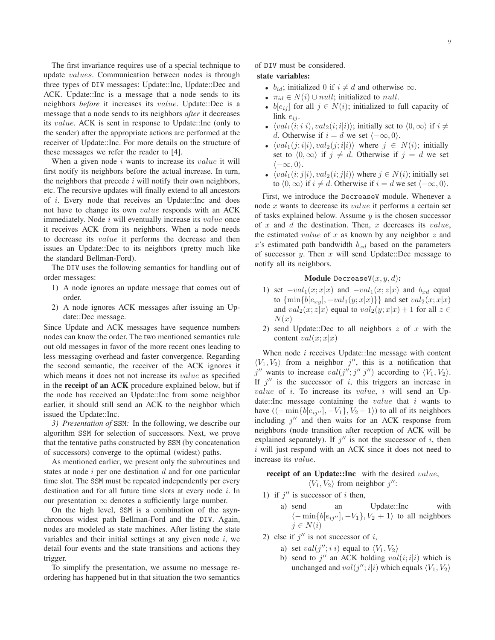The first invariance requires use of a special technique to update values. Communication between nodes is through three types of DIV messages: Update::Inc, Update::Dec and ACK. Update::Inc is a message that a node sends to its neighbors *before* it increases its value. Update::Dec is a message that a node sends to its neighbors *after* it decreases its value. ACK is sent in response to Update::Inc (only to the sender) after the appropriate actions are performed at the receiver of Update::Inc. For more details on the structure of these messages we refer the reader to [4].

When a given node  $i$  wants to increase its  $value$  it will first notify its neighbors before the actual increase. In turn, the neighbors that precede  $i$  will notify their own neighbors, etc. The recursive updates will finally extend to all ancestors of i. Every node that receives an Update::Inc and does not have to change its own value responds with an ACK immediately. Node *i* will eventually increase its *value* once it receives ACK from its neighbors. When a node needs to decrease its value it performs the decrease and then issues an Update::Dec to its neighbors (pretty much like the standard Bellman-Ford).

The DIV uses the following semantics for handling out of order messages:

- 1) A node ignores an update message that comes out of order.
- 2) A node ignores ACK messages after issuing an Update::Dec message.

Since Update and ACK messages have sequence numbers nodes can know the order. The two mentioned semantics rule out old messages in favor of the more recent ones leading to less messaging overhead and faster convergence. Regarding the second semantic, the receiver of the ACK ignores it which means it does not not increase its *value* as specified in the **receipt of an ACK** procedure explained below, but if the node has received an Update::Inc from some neighbor earlier, it should still send an ACK to the neighbor which issued the Update::Inc.

*3) Presentation of* SSM*:* In the following, we describe our algorithm SSM for selection of successors. Next, we prove that the tentative paths constructed by SSM (by concatenation of successors) converge to the optimal (widest) paths.

As mentioned earlier, we present only the subroutines and states at node  $i$  per one destination  $d$  and for one particular time slot. The SSM must be repeated independently per every destination and for all future time slots at every node i. In our presentation  $\infty$  denotes a sufficiently large number.

On the high level, SSM is a combination of the asynchronous widest path Bellman-Ford and the DIV. Again, nodes are modeled as state machines. After listing the state variables and their initial settings at any given node  $i$ , we detail four events and the state transitions and actions they trigger.

To simplify the presentation, we assume no message reordering has happened but in that situation the two semantics

### of DIV must be considered.

#### **state variables:**

- $b_{id}$ ; initialized 0 if  $i \neq d$  and otherwise  $\infty$ .
- $\pi_{id} \in N(i) \cup null$ ; initialized to *null*.
- $b[e_{ij}]$  for all  $j \in N(i)$ ; initialized to full capacity of link e*ij* .
- $\langle val_1(i; i|i), val_2(i; i|i)\rangle$ ; initially set to  $\langle 0, \infty \rangle$  if  $i \neq$ d. Otherwise if  $i = d$  we set  $\langle -\infty, 0 \rangle$ .
- $\langle val_1(j; i|i), val_2(j; i|i) \rangle$  where  $j \in N(i)$ ; initially set to  $\langle 0, \infty \rangle$  if  $j \neq d$ . Otherwise if  $j = d$  we set  $\langle -\infty, 0 \rangle$ .
- $\langle val_1(i; j|i), val_2(i; j|i) \rangle$  where  $j \in N(i)$ ; initially set to  $\langle 0, \infty \rangle$  if  $i \neq d$ . Otherwise if  $i = d$  we set  $\langle -\infty, 0 \rangle$ .

First, we introduce the DecreaseV module. Whenever a node x wants to decrease its value it performs a certain set of tasks explained below. Assume  $y$  is the chosen successor of  $x$  and  $d$  the destination. Then,  $x$  decreases its value, the estimated *value* of  $x$  as known by any neighbor  $z$  and  $x$ 's estimated path bandwidth  $b_{xd}$  based on the parameters of successor  $y$ . Then  $x$  will send Update::Dec message to notify all its neighbors.

# **Module** DecreaseV(x, y, d)**:**

- 1) set  $-\nu a l_1(x;x|x)$  and  $-\nu a l_1(x;z|x)$  and  $b_{xd}$  equal to  $\{\min\{b[e_{xy}], -val_1(y;x|x)\}\}\$  and set  $val_2(x;x|x)$ and  $val_2(x; z|x)$  equal to  $val_2(y; x|x)+1$  for all  $z \in$  $N(x)$
- 2) send Update::Dec to all neighbors  $z$  of  $x$  with the content  $val(x; x|x)$

When node  $i$  receives Update::Inc message with content  $\langle V_1, V_2 \rangle$  from a neighbor j'', this is a notification that  $j''$  wants to increase  $val(j''; j''|j'')$  according to  $\langle V_1, V_2 \rangle$ . If  $j''$  is the successor of i, this triggers an increase in value of  $i$ . To increase its value,  $i$  will send an Update::Inc message containing the  $value$  that  $i$  wants to have  $(\langle -\min\{b[e_{ij}, \cdot], -V_1\}, V_2 + 1 \rangle)$  to all of its neighbors including  $j''$  and then waits for an ACK response from neighbors (node transition after reception of ACK will be explained separately). If  $j''$  is not the successor of i, then i will just respond with an ACK since it does not need to increase its value.

# **receipt of an Update::Inc** with the desired value,  $\langle V_1, V_2 \rangle$  from neighbor j'':

- 1) if  $j''$  is successor of i then,
	- a) send an Update::Inc with  $\langle -\min\{b[e_{ij},-V_1], V_2+1\}\rangle$  to all neighbors  $j \in N(i)$
- 2) else if  $j''$  is not successor of i,
	- a) set  $val(j''; i|i)$  equal to  $\langle V_1, V_2 \rangle$
	- b) send to  $j''$  an ACK holding  $val(i; i|i)$  which is unchanged and  $val(j''; i|i)$  which equals  $\langle V_1, V_2 \rangle$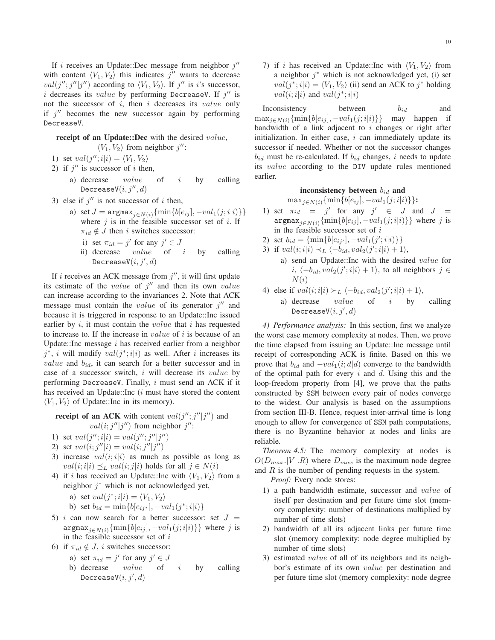If i receives an Update::Dec message from neighbor  $j''$ with content  $\langle V_1, V_2 \rangle$  this indicates j'' wants to decrease  $val(j''; j''|j'')$  according to  $\langle V_1, V_2 \rangle$ . If  $j''$  is *i*'s successor, i decreases its value by performing DecreaseV. If  $j''$  is not the successor of  $i$ , then  $i$  decreases its *value* only if  $j''$  becomes the new successor again by performing DecreaseV.

**receipt of an Update::Dec** with the desired value,

 $\langle V_1, V_2 \rangle$  from neighbor  $j''$ :

- 1) set  $val(j''; i|i) = \langle V_1, V_2 \rangle$
- 2) if  $j''$  is successor of i then,
	- a) decrease  $value$  of  $i$  by calling DecreaseV $(i, j'', d)$
- 3) else if  $j''$  is not successor of i then,
	- a) set  $J = \argmax_{i \in N(i)} \{\min\{b[e_{ij}], -val_1(j; i|i)\}\}\$ where  $j$  is in the feasible successor set of  $i$ . If  $\pi_{id} \notin J$  then *i* switches successor:
		- i) set  $\pi_{id} = j'$  for any  $j' \in J$
		- ii) decrease  $value$  of  $i$  by calling Decrease $V(i, j', d)$

If i receives an ACK message from  $j''$ , it will first update its estimate of the *value* of  $j''$  and then its own *value* can increase according to the invariances 2. Note that ACK message must contain the value of its generator  $j''$  and because it is triggered in response to an Update::Inc issued earlier by  $i$ , it must contain the *value* that  $i$  has requested to increase to. If the increase in *value* of i is because of an Update::Inc message  $i$  has received earlier from a neighbor  $j^*$ , i will modify  $val(j^*; i|i)$  as well. After i increases its *value* and  $b_{id}$ , it can search for a better successor and in case of a successor switch,  $i$  will decrease its *value* by performing DecreaseV. Finally, <sup>i</sup> must send an ACK if it has received an Update::Inc *(i must have stored the content*  $\langle V_1, V_2 \rangle$  of Update::Inc in its memory).

**receipt of an ACK** with content  $val(j''; j''|j'')$  and  $val(i; j'']j'$  from neighbor  $j''$ :

1) set  $val(j''; i|i) = val(j''; j''|j'')$ 

- 2) set  $val(i; j''|i) = val(i; j''|j'')$
- 3) increase  $val(i; i|i)$  as much as possible as long as  $val(i; i|i) \preceq_L val(i; j|i)$  holds for all  $j \in N(i)$
- 4) if i has received an Update::Inc with  $\langle V_1, V_2 \rangle$  from a neighbor  $i^*$  which is not acknowledged yet,
	- a) set  $val(j^*; i|i) = \langle V_1, V_2 \rangle$
	- b) set  $b_{id} = \min\{b[e_{ij^*}], -val_1(j^*; i|i)\}$
- 5) i can now search for a better successor: set  $J =$  $\argmax_{i \in N(i)} \{\min\{b[e_{ij}], -val_1(j;i|i)\}\}\$  where j is in the feasible successor set of  $i$
- 6) if  $\pi_{id} \notin J$ , *i* switches successor:
	- a) set  $\pi_{id} = j'$  for any  $j' \in J$
	- b) decrease  $value$  of  $i$  by calling Decrease $V(i, j', d)$

7) if i has received an Update::Inc with  $\langle V_1, V_2 \rangle$  from a neighbor  $j^*$  which is not acknowledged yet, (i) set  $val(j^*; i|i) = \langle V_1, V_2 \rangle$  (ii) send an ACK to j<sup>\*</sup> holding  $val(i; i|i)$  and  $val(j^*; i|i)$ 

Inconsistency between  $b_{id}$  and  $\max_{i \in N(i)} \{\min\{b[e_{ij}], -val_1(j;i|i)\}\}$  may happen if bandwidth of a link adjacent to  $i$  changes or right after initialization. In either case,  $i$  can immediately update its successor if needed. Whether or not the successor changes  $b_{id}$  must be re-calculated. If  $b_{id}$  changes, i needs to update its value according to the DIV update rules mentioned earlier.

# **inconsistency between** b*id* **and**

 $\max_{i \in N(i)} \{ \min\{b[e_{ij}], -val_1(j; i|i)\} \}$ :

- 1) set  $\pi_{id} = j'$  for any  $j' \in J$  and  $J =$  $\argmax_{j \in N(i)} \{\min\{b[e_{ij}], -val_1(j;i|i)\}\}\$  where j is in the feasible successor set of i
- 2) set  $b_{id} = {\min{b[e_{ij'}], -val_1(j';i|i)}\}$
- 3) if  $val(i; i|i) \prec_L \langle -b_{id}, val_2(j'; i|i) + 1 \rangle$ , a) send an Update::Inc with the desired value for  $i, \, \langle -b_{id}, val_2(j';i|i) + 1 \rangle$ , to all neighbors  $j \in$  $N(i)$
- 4) else if  $val(i; i|i) \succ_L \langle -b_{id}, val_2(j'; i|i) + 1 \rangle$ ,
	- a) decrease  $value$  of  $i$  by calling Decrease $V(i, j', d)$

*4) Performance analysis:* In this section, first we analyze the worst case memory complexity at nodes. Then, we prove the time elapsed from issuing an Update::Inc message until receipt of corresponding ACK is finite. Based on this we prove that  $b_{id}$  and  $-val_1(i; d|d)$  converge to the bandwidth of the optimal path for every  $i$  and  $d$ . Using this and the loop-freedom property from [4], we prove that the paths constructed by SSM between every pair of nodes converge to the widest. Our analysis is based on the assumptions from section III-B. Hence, request inter-arrival time is long enough to allow for convergence of SSM path computations, there is no Byzantine behavior at nodes and links are reliable.

*Theorem 4.5:* The memory complexity at nodes is  $O(D_{max}.|V|.R)$  where  $D_{max}$  is the maximum node degree and  $R$  is the number of pending requests in the system.

*Proof:* Every node stores:

- 1) a path bandwidth estimate, successor and value of itself per destination and per future time slot (memory complexity: number of destinations multiplied by number of time slots)
- 2) bandwidth of all its adjacent links per future time slot (memory complexity: node degree multiplied by number of time slots)
- 3) estimated value of all of its neighbors and its neighbor's estimate of its own value per destination and per future time slot (memory complexity: node degree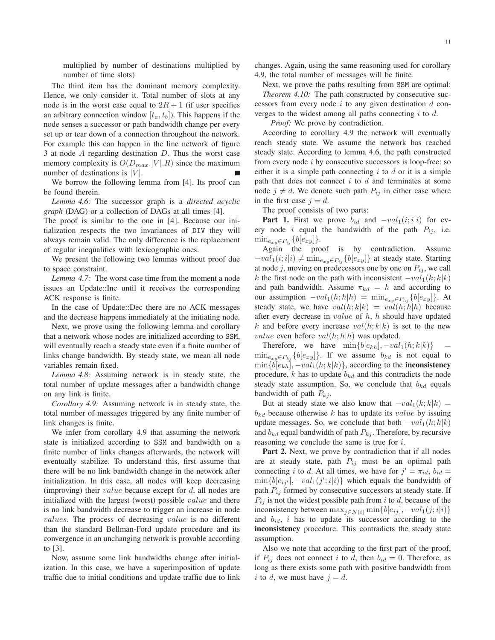multiplied by number of destinations multiplied by number of time slots)

The third item has the dominant memory complexity. Hence, we only consider it. Total number of slots at any node is in the worst case equal to  $2R + 1$  (if user specifies an arbitrary connection window  $[t_a, t_b]$ ). This happens if the node senses a successor or path bandwidth change per every set up or tear down of a connection throughout the network. For example this can happen in the line network of figure 3 at node A regarding destination D. Thus the worst case memory complexity is  $O(D_{max}.|V|.R)$  since the maximum number of destinations is  $|V|$ .

We borrow the following lemma from [4]. Its proof can be found therein.

*Lemma 4.6:* The successor graph is a *directed acyclic graph* (DAG) or a collection of DAGs at all times [4].

The proof is similar to the one in [4]. Because our initialization respects the two invariances of DIV they will always remain valid. The only difference is the replacement of regular inequalities with lexicographic ones.

We present the following two lemmas without proof due to space constraint.

*Lemma 4.7:* The worst case time from the moment a node issues an Update::Inc until it receives the corresponding ACK response is finite.

In the case of Update::Dec there are no ACK messages and the decrease happens immediately at the initiating node.

Next, we prove using the following lemma and corollary that a network whose nodes are initialized according to SSM, will eventually reach a steady state even if a finite number of links change bandwidth. By steady state, we mean all node variables remain fixed.

*Lemma 4.8:* Assuming network is in steady state, the total number of update messages after a bandwidth change on any link is finite.

*Corollary 4.9:* Assuming network is in steady state, the total number of messages triggered by any finite number of link changes is finite.

We infer from corollary 4.9 that assuming the network state is initialized according to SSM and bandwidth on a finite number of links changes afterwards, the network will eventually stabilize. To understand this, first assume that there will be no link bandwidth change in the network after initialization. In this case, all nodes will keep decreasing (improving) their *value* because except for  $d$ , all nodes are initialized with the largest (worst) possible *value* and there is no link bandwidth decrease to trigger an increase in node values. The process of decreasing value is no different than the standard Bellman-Ford update procedure and its convergence in an unchanging network is provable according to [3].

Now, assume some link bandwidths change after initialization. In this case, we have a superimposition of update traffic due to initial conditions and update traffic due to link changes. Again, using the same reasoning used for corollary 4.9, the total number of messages will be finite.

Next, we prove the paths resulting from SSM are optimal:

*Theorem 4.10:* The path constructed by consecutive successors from every node  $i$  to any given destination  $d$  converges to the widest among all paths connecting  $i$  to  $d$ .

*Proof:* We prove by contradiction.

According to corollary 4.9 the network will eventually reach steady state. We assume the network has reached steady state. According to lemma 4.6, the path constructed from every node i by consecutive successors is loop-free: so either it is a simple path connecting  $i$  to  $d$  or it is a simple path that does not connect  $i$  to  $d$  and terminates at some node  $j \neq d$ . We denote such path  $P_{ij}$  in either case where in the first case  $j = d$ .

The proof consists of two parts:

**Part 1.** First we prove  $b_{id}$  and  $-val_1(i; i|i)$  for every node i equal the bandwidth of the path  $P_{ij}$ , i.e.  $\min_{e_{xy} \in P_{ij}} \{b[e_{xy}]\}.$ 

Again the proof is by contradiction. Assume  $-val_1(i; i|i) \neq \min_{e_{xy} \in P_{ij}} \{b[e_{xy}]\}\$ at steady state. Starting at node  $j$ , moving on predecessors one by one on  $P_{ij}$ , we call k the first node on the path with inconsistent  $-val_1(k; k|k)$ and path bandwidth. Assume  $\pi_{kd} = h$  and according to our assumption  $-\text{val}_1(h; h|h) = \min_{e_{xy} \in P_{hi}} \{b[e_{xy}]\}.$  At steady state, we have  $val(h; k|k) = val(h; h|h)$  because after every decrease in value of h, h should have updated k and before every increase  $val(h; k|k)$  is set to the new *value* even before  $val(h; h|h)$  was updated.

Therefore, we have  $\min\{b[e_{kh}], -val_1(h; k|k)\}$  $\min_{e_{xy} \in P_{kj}} \{b[e_{xy}]\}.$  If we assume  $b_{kd}$  is not equal to min{b[e*kh*], −val1(h; k|k)}, according to the **inconsistency** procedure,  $k$  has to update  $b_{kd}$  and this contradicts the node steady state assumption. So, we conclude that  $b_{kd}$  equals bandwidth of path  $P_{ki}$ .

But at steady state we also know that  $-val_1(k; k|k)$  =  $b_{kd}$  because otherwise k has to update its *value* by issuing update messages. So, we conclude that both  $-val_1(k; k|k)$ and  $b_{kd}$  equal bandwidth of path  $P_{kj}$ . Therefore, by recursive reasoning we conclude the same is true for i.

Part 2. Next, we prove by contradiction that if all nodes are at steady state, path P*ij* must be an optimal path connecting i to d. At all times, we have for  $j' = \pi_{id}$ ,  $b_{id}$  $\min\{b[e_{ij}]$ ,  $-val_1(j';i|i)\}$  which equals the bandwidth of path P*ij* formed by consecutive successors at steady state. If  $P_{ij}$  is not the widest possible path from i to d, because of the inconsistency between  $\max_{j \in N(i)} \min\{b[e_{ij}], -val_1(j; i|i)\}$ and b*id*, i has to update its successor according to the **inconsistency** procedure. This contradicts the steady state assumption.

Also we note that according to the first part of the proof, if  $P_{ij}$  does not connect i to d, then  $b_{id} = 0$ . Therefore, as long as there exists some path with positive bandwidth from i to d, we must have  $j = d$ .